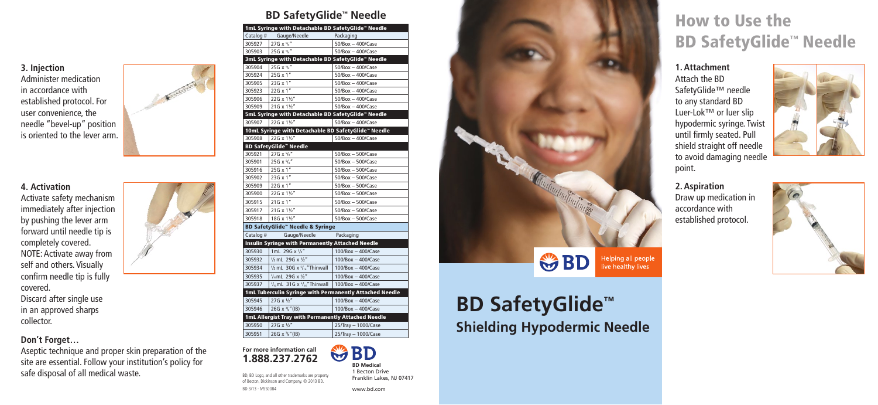# **BD SafetyGlide™ Shielding Hypodermic Needle**

# How to Use the BD SafetyGlide™ Needle

**3. Injection** Administer medication in accordance with established protocol. For user convenience, the needle "bevel-up" position is oriented to the lever arm.



**2. Aspiration** Draw up medication in accordance with established protocol.

## **1. Attachment**

Attach the BD SafetyGlide™ needle to any standard BD Luer-Lok™ or luer slip hypodermic syringe. Twist until firmly seated. Pull shield straight off needle to avoid damaging needle





**BD** W **BD Medical** 1 Becton Drive point.

### **4. Activation**

Activate safety mechanism immediately after injection by pushing the lever arm forward until needle tip is completely covered. NOTE: Activate away from self and others. Visually confirm needle tip is fully covered.

Discard after single use in an approved sharps collector.

> **For more information call 1.888.237.2762**

|  |  |  | <b>BD SafetyGlide<sup>™</sup> Needle</b> |
|--|--|--|------------------------------------------|
|--|--|--|------------------------------------------|

BD, BD Logo, and all other trademarks are property of Becton, Dickinson and Company. © 2013 BD.

BD 3/13 - MSS0084

Franklin Lakes, NJ 07417

www.bd.com



| Catalog #<br>Gauge/Needle<br>Packaging<br>27G x 5/8"<br>$50$ /Box - $400$ /Case<br>305927<br>25G $x$ <sup>5</sup> / <sub>8</sub> $''$<br>305903<br>$50/Box - 400/Case$<br>3mL Syringe with Detachable BD SafetyGlide™ Needle<br>25G $x$ <sup>5</sup> / <sub>8</sub> "<br>305904<br>50/Box - 400/Case<br>$25G \times 1"$<br>305924<br>$50$ /Box $-$ 400/Case<br>23G x 1"<br>305905<br>50/Box - 400/Case<br>305923<br>22G x 1"<br>50/Box - 400/Case<br>305906<br>22G x 11/2"<br>$50/Box - 400/Case$<br>21G x 11/2"<br>305909<br>$50$ /Box $-$ 400/Case<br>5mL Syringe with Detachable BD SafetyGlide™ Needle<br>305907<br>22G x 11/2"<br>50/Box - 400/Case<br>10mL Syringe with Detachable BD SafetyGlide™ Needle<br>22G x 11/2"<br>305908<br>50/Box - 400/Case<br><b>BD SafetyGlide™ Needle</b><br>305921<br>27G $x$ <sup>5</sup> / <sub>8</sub> "<br>$50/Box - 500/Case$<br>25G $x$ <sup>5</sup> / <sub>8</sub> "<br>50/Box - 500/Case<br>305901<br>25G x 1"<br>305916<br>50/Box - 500/Case<br>23G x 1"<br>305902<br>50/Box - 500/Case<br>22G x 1"<br>305909<br>50/Box - 500/Case<br>305900<br>22G x 11/2"<br>50/Box - 500/Case<br>$21G \times 1"$<br>305915<br>$50$ /Box $-500$ /Case<br>305917<br>21G x 11/2"<br>$50/Box - 500/Case$<br>18G x 11/2"<br>305918<br>$50/Box - 500/Case$<br><b>BD SafetyGlide™ Needle &amp; Syringe</b><br>Catalog #<br>Gauge/Needle<br>Packaging<br><b>Insulin Syringe with Permanently Attached Needle</b><br>1mL 29G x 1/2"<br>$100/Box - 400/Case$<br>305930<br>1/2 mL 29G x 1/2"<br>305932<br>100/Box - 400/Case<br>$1/2$ mL 30G x $5/16$ " Thinwall<br>305934<br>$100/Box - 400/Case$<br>3/10 mL 29G x 1/2"<br>305935<br>$100/Box - 400/Case$<br>$\frac{3}{10}$ mL 31G x $\frac{5}{16}$ "Thinwall<br>100/Box - 400/Case<br>305937<br>1mL Tuberculin Syringe with Permanently Attached Needle<br>305945<br>$27G \times \frac{1}{2}$<br>100/Box - 400/Case<br>305946<br>26G $x \frac{3}{8}$ " (IB)<br>100/Box - 400/Case<br>1mL Allergist Tray with Permanently Attached Needle<br>$27G \times \frac{1}{2}$<br>305950<br>25/Tray - 1000/Case<br>305951<br>26G $x \frac{3}{8}$ " (IB)<br>25/Tray - 1000/Case | 1mL Syringe with Detachable BD SafetyGlide™ Needle |  |  |  |  |
|-----------------------------------------------------------------------------------------------------------------------------------------------------------------------------------------------------------------------------------------------------------------------------------------------------------------------------------------------------------------------------------------------------------------------------------------------------------------------------------------------------------------------------------------------------------------------------------------------------------------------------------------------------------------------------------------------------------------------------------------------------------------------------------------------------------------------------------------------------------------------------------------------------------------------------------------------------------------------------------------------------------------------------------------------------------------------------------------------------------------------------------------------------------------------------------------------------------------------------------------------------------------------------------------------------------------------------------------------------------------------------------------------------------------------------------------------------------------------------------------------------------------------------------------------------------------------------------------------------------------------------------------------------------------------------------------------------------------------------------------------------------------------------------------------------------------------------------------------------------------------------------------------------------------------------------------------------------------------------------------------------------------------------------------------------------------------------------------------------------------------------------------------|----------------------------------------------------|--|--|--|--|
|                                                                                                                                                                                                                                                                                                                                                                                                                                                                                                                                                                                                                                                                                                                                                                                                                                                                                                                                                                                                                                                                                                                                                                                                                                                                                                                                                                                                                                                                                                                                                                                                                                                                                                                                                                                                                                                                                                                                                                                                                                                                                                                                               |                                                    |  |  |  |  |
|                                                                                                                                                                                                                                                                                                                                                                                                                                                                                                                                                                                                                                                                                                                                                                                                                                                                                                                                                                                                                                                                                                                                                                                                                                                                                                                                                                                                                                                                                                                                                                                                                                                                                                                                                                                                                                                                                                                                                                                                                                                                                                                                               |                                                    |  |  |  |  |
|                                                                                                                                                                                                                                                                                                                                                                                                                                                                                                                                                                                                                                                                                                                                                                                                                                                                                                                                                                                                                                                                                                                                                                                                                                                                                                                                                                                                                                                                                                                                                                                                                                                                                                                                                                                                                                                                                                                                                                                                                                                                                                                                               |                                                    |  |  |  |  |
|                                                                                                                                                                                                                                                                                                                                                                                                                                                                                                                                                                                                                                                                                                                                                                                                                                                                                                                                                                                                                                                                                                                                                                                                                                                                                                                                                                                                                                                                                                                                                                                                                                                                                                                                                                                                                                                                                                                                                                                                                                                                                                                                               |                                                    |  |  |  |  |
|                                                                                                                                                                                                                                                                                                                                                                                                                                                                                                                                                                                                                                                                                                                                                                                                                                                                                                                                                                                                                                                                                                                                                                                                                                                                                                                                                                                                                                                                                                                                                                                                                                                                                                                                                                                                                                                                                                                                                                                                                                                                                                                                               |                                                    |  |  |  |  |
|                                                                                                                                                                                                                                                                                                                                                                                                                                                                                                                                                                                                                                                                                                                                                                                                                                                                                                                                                                                                                                                                                                                                                                                                                                                                                                                                                                                                                                                                                                                                                                                                                                                                                                                                                                                                                                                                                                                                                                                                                                                                                                                                               |                                                    |  |  |  |  |
|                                                                                                                                                                                                                                                                                                                                                                                                                                                                                                                                                                                                                                                                                                                                                                                                                                                                                                                                                                                                                                                                                                                                                                                                                                                                                                                                                                                                                                                                                                                                                                                                                                                                                                                                                                                                                                                                                                                                                                                                                                                                                                                                               |                                                    |  |  |  |  |
|                                                                                                                                                                                                                                                                                                                                                                                                                                                                                                                                                                                                                                                                                                                                                                                                                                                                                                                                                                                                                                                                                                                                                                                                                                                                                                                                                                                                                                                                                                                                                                                                                                                                                                                                                                                                                                                                                                                                                                                                                                                                                                                                               |                                                    |  |  |  |  |
|                                                                                                                                                                                                                                                                                                                                                                                                                                                                                                                                                                                                                                                                                                                                                                                                                                                                                                                                                                                                                                                                                                                                                                                                                                                                                                                                                                                                                                                                                                                                                                                                                                                                                                                                                                                                                                                                                                                                                                                                                                                                                                                                               |                                                    |  |  |  |  |
|                                                                                                                                                                                                                                                                                                                                                                                                                                                                                                                                                                                                                                                                                                                                                                                                                                                                                                                                                                                                                                                                                                                                                                                                                                                                                                                                                                                                                                                                                                                                                                                                                                                                                                                                                                                                                                                                                                                                                                                                                                                                                                                                               |                                                    |  |  |  |  |
|                                                                                                                                                                                                                                                                                                                                                                                                                                                                                                                                                                                                                                                                                                                                                                                                                                                                                                                                                                                                                                                                                                                                                                                                                                                                                                                                                                                                                                                                                                                                                                                                                                                                                                                                                                                                                                                                                                                                                                                                                                                                                                                                               |                                                    |  |  |  |  |
|                                                                                                                                                                                                                                                                                                                                                                                                                                                                                                                                                                                                                                                                                                                                                                                                                                                                                                                                                                                                                                                                                                                                                                                                                                                                                                                                                                                                                                                                                                                                                                                                                                                                                                                                                                                                                                                                                                                                                                                                                                                                                                                                               |                                                    |  |  |  |  |
|                                                                                                                                                                                                                                                                                                                                                                                                                                                                                                                                                                                                                                                                                                                                                                                                                                                                                                                                                                                                                                                                                                                                                                                                                                                                                                                                                                                                                                                                                                                                                                                                                                                                                                                                                                                                                                                                                                                                                                                                                                                                                                                                               |                                                    |  |  |  |  |
|                                                                                                                                                                                                                                                                                                                                                                                                                                                                                                                                                                                                                                                                                                                                                                                                                                                                                                                                                                                                                                                                                                                                                                                                                                                                                                                                                                                                                                                                                                                                                                                                                                                                                                                                                                                                                                                                                                                                                                                                                                                                                                                                               |                                                    |  |  |  |  |
|                                                                                                                                                                                                                                                                                                                                                                                                                                                                                                                                                                                                                                                                                                                                                                                                                                                                                                                                                                                                                                                                                                                                                                                                                                                                                                                                                                                                                                                                                                                                                                                                                                                                                                                                                                                                                                                                                                                                                                                                                                                                                                                                               |                                                    |  |  |  |  |
|                                                                                                                                                                                                                                                                                                                                                                                                                                                                                                                                                                                                                                                                                                                                                                                                                                                                                                                                                                                                                                                                                                                                                                                                                                                                                                                                                                                                                                                                                                                                                                                                                                                                                                                                                                                                                                                                                                                                                                                                                                                                                                                                               |                                                    |  |  |  |  |
|                                                                                                                                                                                                                                                                                                                                                                                                                                                                                                                                                                                                                                                                                                                                                                                                                                                                                                                                                                                                                                                                                                                                                                                                                                                                                                                                                                                                                                                                                                                                                                                                                                                                                                                                                                                                                                                                                                                                                                                                                                                                                                                                               |                                                    |  |  |  |  |
|                                                                                                                                                                                                                                                                                                                                                                                                                                                                                                                                                                                                                                                                                                                                                                                                                                                                                                                                                                                                                                                                                                                                                                                                                                                                                                                                                                                                                                                                                                                                                                                                                                                                                                                                                                                                                                                                                                                                                                                                                                                                                                                                               |                                                    |  |  |  |  |
|                                                                                                                                                                                                                                                                                                                                                                                                                                                                                                                                                                                                                                                                                                                                                                                                                                                                                                                                                                                                                                                                                                                                                                                                                                                                                                                                                                                                                                                                                                                                                                                                                                                                                                                                                                                                                                                                                                                                                                                                                                                                                                                                               |                                                    |  |  |  |  |
|                                                                                                                                                                                                                                                                                                                                                                                                                                                                                                                                                                                                                                                                                                                                                                                                                                                                                                                                                                                                                                                                                                                                                                                                                                                                                                                                                                                                                                                                                                                                                                                                                                                                                                                                                                                                                                                                                                                                                                                                                                                                                                                                               |                                                    |  |  |  |  |
|                                                                                                                                                                                                                                                                                                                                                                                                                                                                                                                                                                                                                                                                                                                                                                                                                                                                                                                                                                                                                                                                                                                                                                                                                                                                                                                                                                                                                                                                                                                                                                                                                                                                                                                                                                                                                                                                                                                                                                                                                                                                                                                                               |                                                    |  |  |  |  |
|                                                                                                                                                                                                                                                                                                                                                                                                                                                                                                                                                                                                                                                                                                                                                                                                                                                                                                                                                                                                                                                                                                                                                                                                                                                                                                                                                                                                                                                                                                                                                                                                                                                                                                                                                                                                                                                                                                                                                                                                                                                                                                                                               |                                                    |  |  |  |  |
|                                                                                                                                                                                                                                                                                                                                                                                                                                                                                                                                                                                                                                                                                                                                                                                                                                                                                                                                                                                                                                                                                                                                                                                                                                                                                                                                                                                                                                                                                                                                                                                                                                                                                                                                                                                                                                                                                                                                                                                                                                                                                                                                               |                                                    |  |  |  |  |
|                                                                                                                                                                                                                                                                                                                                                                                                                                                                                                                                                                                                                                                                                                                                                                                                                                                                                                                                                                                                                                                                                                                                                                                                                                                                                                                                                                                                                                                                                                                                                                                                                                                                                                                                                                                                                                                                                                                                                                                                                                                                                                                                               |                                                    |  |  |  |  |
|                                                                                                                                                                                                                                                                                                                                                                                                                                                                                                                                                                                                                                                                                                                                                                                                                                                                                                                                                                                                                                                                                                                                                                                                                                                                                                                                                                                                                                                                                                                                                                                                                                                                                                                                                                                                                                                                                                                                                                                                                                                                                                                                               |                                                    |  |  |  |  |
|                                                                                                                                                                                                                                                                                                                                                                                                                                                                                                                                                                                                                                                                                                                                                                                                                                                                                                                                                                                                                                                                                                                                                                                                                                                                                                                                                                                                                                                                                                                                                                                                                                                                                                                                                                                                                                                                                                                                                                                                                                                                                                                                               |                                                    |  |  |  |  |
|                                                                                                                                                                                                                                                                                                                                                                                                                                                                                                                                                                                                                                                                                                                                                                                                                                                                                                                                                                                                                                                                                                                                                                                                                                                                                                                                                                                                                                                                                                                                                                                                                                                                                                                                                                                                                                                                                                                                                                                                                                                                                                                                               |                                                    |  |  |  |  |
|                                                                                                                                                                                                                                                                                                                                                                                                                                                                                                                                                                                                                                                                                                                                                                                                                                                                                                                                                                                                                                                                                                                                                                                                                                                                                                                                                                                                                                                                                                                                                                                                                                                                                                                                                                                                                                                                                                                                                                                                                                                                                                                                               |                                                    |  |  |  |  |
|                                                                                                                                                                                                                                                                                                                                                                                                                                                                                                                                                                                                                                                                                                                                                                                                                                                                                                                                                                                                                                                                                                                                                                                                                                                                                                                                                                                                                                                                                                                                                                                                                                                                                                                                                                                                                                                                                                                                                                                                                                                                                                                                               |                                                    |  |  |  |  |
|                                                                                                                                                                                                                                                                                                                                                                                                                                                                                                                                                                                                                                                                                                                                                                                                                                                                                                                                                                                                                                                                                                                                                                                                                                                                                                                                                                                                                                                                                                                                                                                                                                                                                                                                                                                                                                                                                                                                                                                                                                                                                                                                               |                                                    |  |  |  |  |
|                                                                                                                                                                                                                                                                                                                                                                                                                                                                                                                                                                                                                                                                                                                                                                                                                                                                                                                                                                                                                                                                                                                                                                                                                                                                                                                                                                                                                                                                                                                                                                                                                                                                                                                                                                                                                                                                                                                                                                                                                                                                                                                                               |                                                    |  |  |  |  |
|                                                                                                                                                                                                                                                                                                                                                                                                                                                                                                                                                                                                                                                                                                                                                                                                                                                                                                                                                                                                                                                                                                                                                                                                                                                                                                                                                                                                                                                                                                                                                                                                                                                                                                                                                                                                                                                                                                                                                                                                                                                                                                                                               |                                                    |  |  |  |  |
|                                                                                                                                                                                                                                                                                                                                                                                                                                                                                                                                                                                                                                                                                                                                                                                                                                                                                                                                                                                                                                                                                                                                                                                                                                                                                                                                                                                                                                                                                                                                                                                                                                                                                                                                                                                                                                                                                                                                                                                                                                                                                                                                               |                                                    |  |  |  |  |
|                                                                                                                                                                                                                                                                                                                                                                                                                                                                                                                                                                                                                                                                                                                                                                                                                                                                                                                                                                                                                                                                                                                                                                                                                                                                                                                                                                                                                                                                                                                                                                                                                                                                                                                                                                                                                                                                                                                                                                                                                                                                                                                                               |                                                    |  |  |  |  |
|                                                                                                                                                                                                                                                                                                                                                                                                                                                                                                                                                                                                                                                                                                                                                                                                                                                                                                                                                                                                                                                                                                                                                                                                                                                                                                                                                                                                                                                                                                                                                                                                                                                                                                                                                                                                                                                                                                                                                                                                                                                                                                                                               |                                                    |  |  |  |  |
|                                                                                                                                                                                                                                                                                                                                                                                                                                                                                                                                                                                                                                                                                                                                                                                                                                                                                                                                                                                                                                                                                                                                                                                                                                                                                                                                                                                                                                                                                                                                                                                                                                                                                                                                                                                                                                                                                                                                                                                                                                                                                                                                               |                                                    |  |  |  |  |
|                                                                                                                                                                                                                                                                                                                                                                                                                                                                                                                                                                                                                                                                                                                                                                                                                                                                                                                                                                                                                                                                                                                                                                                                                                                                                                                                                                                                                                                                                                                                                                                                                                                                                                                                                                                                                                                                                                                                                                                                                                                                                                                                               |                                                    |  |  |  |  |
|                                                                                                                                                                                                                                                                                                                                                                                                                                                                                                                                                                                                                                                                                                                                                                                                                                                                                                                                                                                                                                                                                                                                                                                                                                                                                                                                                                                                                                                                                                                                                                                                                                                                                                                                                                                                                                                                                                                                                                                                                                                                                                                                               |                                                    |  |  |  |  |

## **Don't Forget…**

Aseptic technique and proper skin preparation of the site are essential. Follow your institution's policy for safe disposal of all medical waste.